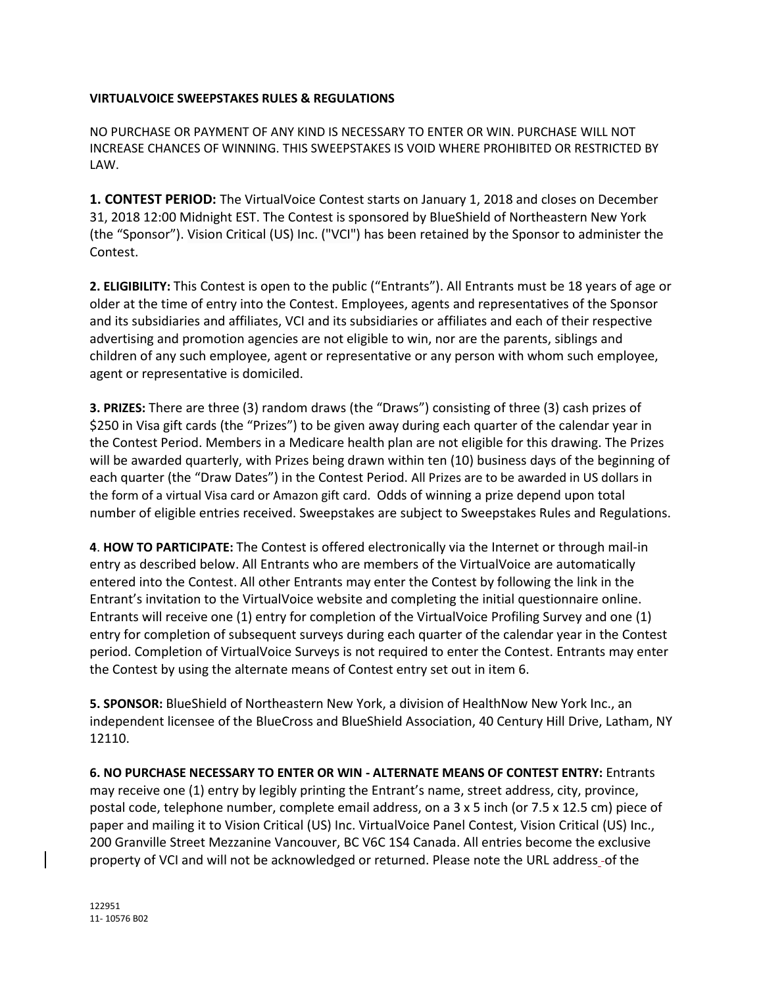## **VIRTUALVOICE SWEEPSTAKES RULES & REGULATIONS**

NO PURCHASE OR PAYMENT OF ANY KIND IS NECESSARY TO ENTER OR WIN. PURCHASE WILL NOT INCREASE CHANCES OF WINNING. THIS SWEEPSTAKES IS VOID WHERE PROHIBITED OR RESTRICTED BY LAW.

**1. CONTEST PERIOD:** The VirtualVoice Contest starts on January 1, 2018 and closes on December 31, 2018 12:00 Midnight EST. The Contest is sponsored by BlueShield of Northeastern New York (the "Sponsor"). Vision Critical (US) Inc. ("VCI") has been retained by the Sponsor to administer the Contest.

**2. ELIGIBILITY:** This Contest is open to the public ("Entrants"). All Entrants must be 18 years of age or older at the time of entry into the Contest. Employees, agents and representatives of the Sponsor and its subsidiaries and affiliates, VCI and its subsidiaries or affiliates and each of their respective advertising and promotion agencies are not eligible to win, nor are the parents, siblings and children of any such employee, agent or representative or any person with whom such employee, agent or representative is domiciled.

**3. PRIZES:** There are three (3) random draws (the "Draws") consisting of three (3) cash prizes of \$250 in Visa gift cards (the "Prizes") to be given away during each quarter of the calendar year in the Contest Period. Members in a Medicare health plan are not eligible for this drawing. The Prizes will be awarded quarterly, with Prizes being drawn within ten (10) business days of the beginning of each quarter (the "Draw Dates") in the Contest Period. All Prizes are to be awarded in US dollars in the form of a virtual Visa card or Amazon gift card. Odds of winning a prize depend upon total number of eligible entries received. Sweepstakes are subject to Sweepstakes Rules and Regulations.

**4**. **HOW TO PARTICIPATE:** The Contest is offered electronically via the Internet or through mail-in entry as described below. All Entrants who are members of the VirtualVoice are automatically entered into the Contest. All other Entrants may enter the Contest by following the link in the Entrant's invitation to the VirtualVoice website and completing the initial questionnaire online. Entrants will receive one (1) entry for completion of the VirtualVoice Profiling Survey and one (1) entry for completion of subsequent surveys during each quarter of the calendar year in the Contest period. Completion of VirtualVoice Surveys is not required to enter the Contest. Entrants may enter the Contest by using the alternate means of Contest entry set out in item 6.

**5. SPONSOR:** BlueShield of Northeastern New York, a division of HealthNow New York Inc., an independent licensee of the BlueCross and BlueShield Association, 40 Century Hill Drive, Latham, NY 12110.

**6. NO PURCHASE NECESSARY TO ENTER OR WIN ‐ ALTERNATE MEANS OF CONTEST ENTRY:** Entrants may receive one (1) entry by legibly printing the Entrant's name, street address, city, province, postal code, telephone number, complete email address, on a 3 x 5 inch (or 7.5 x 12.5 cm) piece of paper and mailing it to Vision Critical (US) Inc. VirtualVoice Panel Contest, Vision Critical (US) Inc., 200 Granville Street Mezzanine Vancouver, BC V6C 1S4 Canada. All entries become the exclusive property of VCI and will not be acknowledged or returned. Please note the URL address of the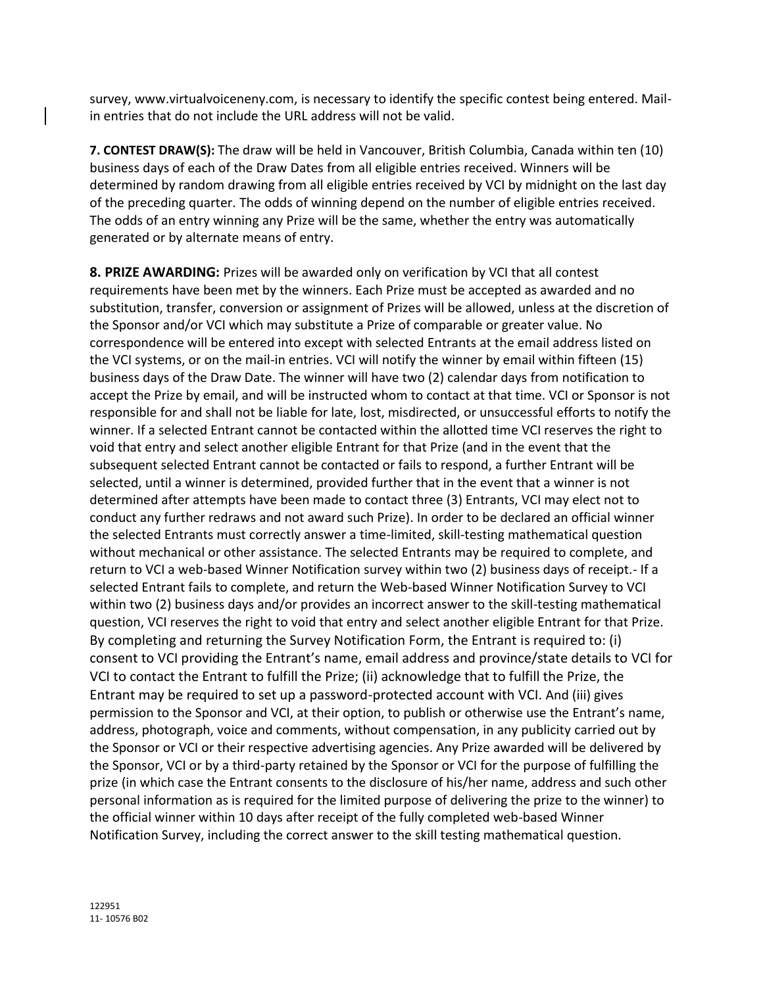survey, www.virtualvoiceneny.com, is necessary to identify the specific contest being entered. Mailin entries that do not include the URL address will not be valid.

**7. CONTEST DRAW(S):** The draw will be held in Vancouver, British Columbia, Canada within ten (10) business days of each of the Draw Dates from all eligible entries received. Winners will be determined by random drawing from all eligible entries received by VCI by midnight on the last day of the preceding quarter. The odds of winning depend on the number of eligible entries received. The odds of an entry winning any Prize will be the same, whether the entry was automatically generated or by alternate means of entry.

**8. PRIZE AWARDING:** Prizes will be awarded only on verification by VCI that all contest requirements have been met by the winners. Each Prize must be accepted as awarded and no substitution, transfer, conversion or assignment of Prizes will be allowed, unless at the discretion of the Sponsor and/or VCI which may substitute a Prize of comparable or greater value. No correspondence will be entered into except with selected Entrants at the email address listed on the VCI systems, or on the mail-in entries. VCI will notify the winner by email within fifteen (15) business days of the Draw Date. The winner will have two (2) calendar days from notification to accept the Prize by email, and will be instructed whom to contact at that time. VCI or Sponsor is not responsible for and shall not be liable for late, lost, misdirected, or unsuccessful efforts to notify the winner. If a selected Entrant cannot be contacted within the allotted time VCI reserves the right to void that entry and select another eligible Entrant for that Prize (and in the event that the subsequent selected Entrant cannot be contacted or fails to respond, a further Entrant will be selected, until a winner is determined, provided further that in the event that a winner is not determined after attempts have been made to contact three (3) Entrants, VCI may elect not to conduct any further redraws and not award such Prize). In order to be declared an official winner the selected Entrants must correctly answer a time-limited, skill-testing mathematical question without mechanical or other assistance. The selected Entrants may be required to complete, and return to VCI a web-based Winner Notification survey within two (2) business days of receipt.- If a selected Entrant fails to complete, and return the Web-based Winner Notification Survey to VCI within two (2) business days and/or provides an incorrect answer to the skill-testing mathematical question, VCI reserves the right to void that entry and select another eligible Entrant for that Prize. By completing and returning the Survey Notification Form, the Entrant is required to: (i) consent to VCI providing the Entrant's name, email address and province/state details to VCI for VCI to contact the Entrant to fulfill the Prize; (ii) acknowledge that to fulfill the Prize, the Entrant may be required to set up a password-protected account with VCI. And (iii) gives permission to the Sponsor and VCI, at their option, to publish or otherwise use the Entrant's name, address, photograph, voice and comments, without compensation, in any publicity carried out by the Sponsor or VCI or their respective advertising agencies. Any Prize awarded will be delivered by the Sponsor, VCI or by a third-party retained by the Sponsor or VCI for the purpose of fulfilling the prize (in which case the Entrant consents to the disclosure of his/her name, address and such other personal information as is required for the limited purpose of delivering the prize to the winner) to the official winner within 10 days after receipt of the fully completed web-based Winner Notification Survey, including the correct answer to the skill testing mathematical question.